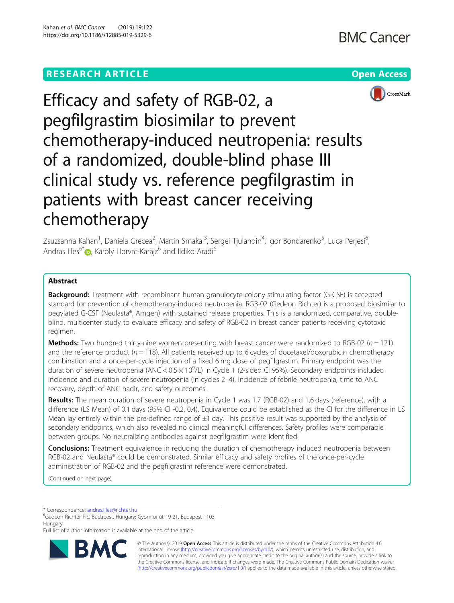# **RESEARCH ARTICLE Example 2018 12:30 THE Open Access**





Efficacy and safety of RGB-02, a pegfilgrastim biosimilar to prevent chemotherapy-induced neutropenia: results of a randomized, double-blind phase III clinical study vs. reference pegfilgrastim in patients with breast cancer receiving chemotherapy

Zsuzsanna Kahan<sup>1</sup>, Daniela Grecea<sup>2</sup>, Martin Smakal<sup>3</sup>, Sergei Tjulandin<sup>4</sup>, Igor Bondarenko<sup>5</sup>, Luca Perjesi<sup>6</sup> , Andras Illes<sup>6\*</sup> <sub>(b</sub>[,](http://orcid.org/0000-0003-0899-7215) Karoly Horvat-Karajz<sup>6</sup> and Ildiko Aradi<sup>6</sup>

## Abstract

**Background:** Treatment with recombinant human granulocyte-colony stimulating factor (G-CSF) is accepted standard for prevention of chemotherapy-induced neutropenia. RGB-02 (Gedeon Richter) is a proposed biosimilar to pegylated G-CSF (Neulasta®, Amgen) with sustained release properties. This is a randomized, comparative, doubleblind, multicenter study to evaluate efficacy and safety of RGB-02 in breast cancer patients receiving cytotoxic regimen.

**Methods:** Two hundred thirty-nine women presenting with breast cancer were randomized to RGB-02 ( $n = 121$ ) and the reference product ( $n = 118$ ). All patients received up to 6 cycles of docetaxel/doxorubicin chemotherapy combination and a once-per-cycle injection of a fixed 6 mg dose of pegfilgrastim. Primary endpoint was the duration of severe neutropenia (ANC < 0.5 × 10<sup>9</sup>/L) in Cycle 1 (2-sided CI 95%). Secondary endpoints included incidence and duration of severe neutropenia (in cycles 2–4), incidence of febrile neutropenia, time to ANC recovery, depth of ANC nadir, and safety outcomes.

Results: The mean duration of severe neutropenia in Cycle 1 was 1.7 (RGB-02) and 1.6 days (reference), with a difference (LS Mean) of 0.1 days (95% CI -0.2, 0.4). Equivalence could be established as the CI for the difference in LS Mean lay entirely within the pre-defined range of  $\pm 1$  day. This positive result was supported by the analysis of secondary endpoints, which also revealed no clinical meaningful differences. Safety profiles were comparable between groups. No neutralizing antibodies against pegfilgrastim were identified.

**Conclusions:** Treatment equivalence in reducing the duration of chemotherapy induced neutropenia between RGB-02 and Neulasta® could be demonstrated. Similar efficacy and safety profiles of the once-per-cycle administration of RGB-02 and the pegfilgrastim reference were demonstrated.

(Continued on next page)

\* Correspondence: [andras.illes@richter.hu](mailto:andras.illes@richter.hu) <sup>6</sup>

Gedeon Richter Plc, Budapest, Hungary; Gyömröi út 19-21, Budapest 1103, Hungary

Full list of author information is available at the end of the article



© The Author(s). 2019 **Open Access** This article is distributed under the terms of the Creative Commons Attribution 4.0 International License [\(http://creativecommons.org/licenses/by/4.0/](http://creativecommons.org/licenses/by/4.0/)), which permits unrestricted use, distribution, and reproduction in any medium, provided you give appropriate credit to the original author(s) and the source, provide a link to the Creative Commons license, and indicate if changes were made. The Creative Commons Public Domain Dedication waiver [\(http://creativecommons.org/publicdomain/zero/1.0/](http://creativecommons.org/publicdomain/zero/1.0/)) applies to the data made available in this article, unless otherwise stated.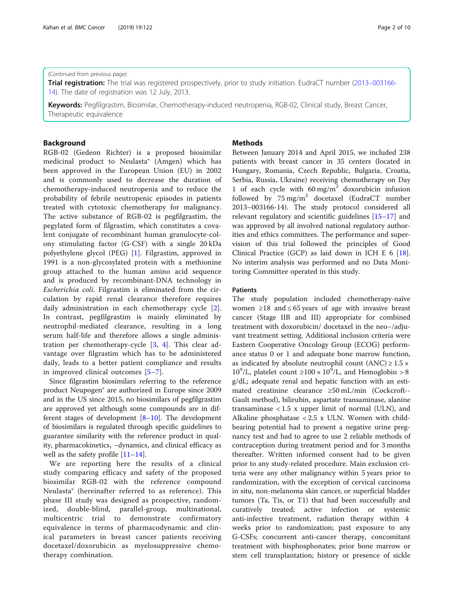#### (Continued from previous page)

Trial registration: The trial was registered prospectively, prior to study initiation. EudraCT number (2013-[003166-](https://www.clinicaltrialsregister.eu/ctr-search/trial/2013-003166-14/HU) [14\)](https://www.clinicaltrialsregister.eu/ctr-search/trial/2013-003166-14/HU). The date of registration was 12 July, 2013.

Keywords: Pegfilgrastim, Biosimilar, Chemotherapy-induced neutropenia, RGB-02, Clinical study, Breast Cancer, Therapeutic equivalence

## Background

RGB-02 (Gedeon Richter) is a proposed biosimilar medicinal product to Neulasta® (Amgen) which has been approved in the European Union (EU) in 2002 and is commonly used to decrease the duration of chemotherapy-induced neutropenia and to reduce the probability of febrile neutropenic episodes in patients treated with cytotoxic chemotherapy for malignancy. The active substance of RGB-02 is pegfilgrastim, the pegylated form of filgrastim, which constitutes a covalent conjugate of recombinant human granulocyte-colony stimulating factor (G-CSF) with a single 20 kDa polyethylene glycol (PEG) [[1\]](#page-8-0). Filgrastim, approved in 1991 is a non-glycosylated protein with a methionine group attached to the human amino acid sequence and is produced by recombinant-DNA technology in Escherichia coli. Filgrastim is eliminated from the circulation by rapid renal clearance therefore requires daily administration in each chemotherapy cycle [\[2](#page-8-0)]. In contrast, pegfilgrastim is mainly eliminated by neutrophil-mediated clearance, resulting in a long serum half-life and therefore allows a single administration per chemotherapy-cycle [\[3](#page-8-0), [4\]](#page-8-0). This clear advantage over filgrastim which has to be administered daily, leads to a better patient compliance and results in improved clinical outcomes [\[5](#page-8-0)–[7](#page-8-0)].

Since filgrastim biosimilars referring to the reference product Neupogen® are authorized in Europe since 2009 and in the US since 2015, no biosimilars of pegfilgrastim are approved yet although some compounds are in different stages of development [[8](#page-8-0)–[10](#page-8-0)]. The development of biosimilars is regulated through specific guidelines to guarantee similarity with the reference product in quality, pharmacokinetics, −dynamics, and clinical efficacy as well as the safety profile  $[11-14]$  $[11-14]$  $[11-14]$  $[11-14]$ .

We are reporting here the results of a clinical study comparing efficacy and safety of the proposed biosimilar RGB-02 with the reference compound Neulasta® (hereinafter referred to as reference). This phase III study was designed as prospective, randomized, double-blind, parallel-group, multinational, multicentric trial to demonstrate confirmatory equivalence in terms of pharmacodynamic and clinical parameters in breast cancer patients receiving docetaxel/doxorubicin as myelosuppressive chemotherapy combination.

## Methods

Between January 2014 and April 2015, we included 238 patients with breast cancer in 35 centers (located in Hungary, Romania, Czech Republic, Bulgaria, Croatia, Serbia, Russia, Ukraine) receiving chemotherapy on Day 1 of each cycle with  $60 \text{ mg/m}^2$  doxorubicin infusion followed by  $75 \text{ mg/m}^2$  docetaxel (EudraCT number 2013–003166-14). The study protocol considered all relevant regulatory and scientific guidelines [\[15](#page-8-0)–[17\]](#page-9-0) and was approved by all involved national regulatory authorities and ethics committees. The performance and supervision of this trial followed the principles of Good Clinical Practice (GCP) as laid down in ICH E 6 [\[18](#page-9-0)]. No interim analysis was performed and no Data Monitoring Committee operated in this study.

#### Patients

The study population included chemotherapy-naïve women  $\geq$ 18 and  $\leq$  65 years of age with invasive breast cancer (Stage IIB and III) appropriate for combined treatment with doxorubicin/ docetaxel in the neo−/adjuvant treatment setting. Additional inclusion criteria were Eastern Cooperative Oncology Group (ECOG) performance status 0 or 1 and adequate bone marrow function, as indicated by absolute neutrophil count (ANC)  $\geq 1.5 \times$ 10<sup>9</sup>/L, platelet count  $\geq$ 100 × 10<sup>9</sup>/L, and Hemoglobin > 8 g/dL; adequate renal and hepatic function with an estimated creatinine clearance ≥50 mL/min (Cockcroft-- Gault method), bilirubin, aspartate transaminase, alanine transaminase  $< 1.5$  x upper limit of normal (ULN), and Alkaline phosphatase < 2.5 x ULN. Women with childbearing potential had to present a negative urine pregnancy test and had to agree to use 2 reliable methods of contraception during treatment period and for 3 months thereafter. Written informed consent had to be given prior to any study-related procedure. Main exclusion criteria were any other malignancy within 5 years prior to randomization, with the exception of cervical carcinoma in situ, non-melanoma skin cancer, or superficial bladder tumors (Ta, Tis, or T1) that had been successfully and curatively treated; active infection or systemic anti-infective treatment, radiation therapy within 4 weeks prior to randomization; past exposure to any G-CSFs; concurrent anti-cancer therapy, concomitant treatment with bisphosphonates; prior bone marrow or stem cell transplantation; history or presence of sickle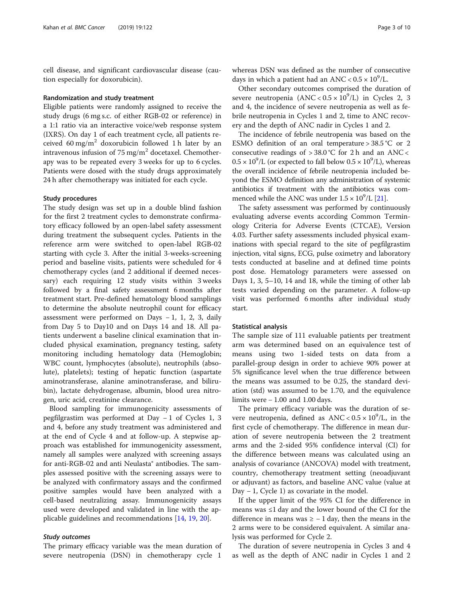cell disease, and significant cardiovascular disease (caution especially for doxorubicin).

#### Randomization and study treatment

Eligible patients were randomly assigned to receive the study drugs (6 mg s.c. of either RGB-02 or reference) in a 1:1 ratio via an interactive voice/web response system (IXRS). On day 1 of each treatment cycle, all patients received 60 mg/m<sup>2</sup> doxorubicin followed 1 h later by an intravenous infusion of  $75 \text{ mg/m}^2$  docetaxel. Chemotherapy was to be repeated every 3 weeks for up to 6 cycles. Patients were dosed with the study drugs approximately 24 h after chemotherapy was initiated for each cycle.

## Study procedures

The study design was set up in a double blind fashion for the first 2 treatment cycles to demonstrate confirmatory efficacy followed by an open-label safety assessment during treatment the subsequent cycles. Patients in the reference arm were switched to open-label RGB-02 starting with cycle 3. After the initial 3-weeks-screening period and baseline visits, patients were scheduled for 4 chemotherapy cycles (and 2 additional if deemed necessary) each requiring 12 study visits within 3 weeks followed by a final safety assessment 6 months after treatment start. Pre-defined hematology blood samplings to determine the absolute neutrophil count for efficacy assessment were performed on Days − 1, 1, 2, 3, daily from Day 5 to Day10 and on Days 14 and 18. All patients underwent a baseline clinical examination that included physical examination, pregnancy testing, safety monitoring including hematology data (Hemoglobin; WBC count, lymphocytes (absolute), neutrophils (absolute), platelets); testing of hepatic function (aspartate aminotransferase, alanine aminotransferase, and bilirubin), lactate dehydrogenase, albumin, blood urea nitrogen, uric acid, creatinine clearance.

Blood sampling for immunogenicity assessments of pegfilgrastim was performed at Day − 1 of Cycles 1, 3 and 4, before any study treatment was administered and at the end of Cycle 4 and at follow-up. A stepwise approach was established for immunogenicity assessment, namely all samples were analyzed with screening assays for anti-RGB-02 and anti Neulasta® antibodies. The samples assessed positive with the screening assays were to be analyzed with confirmatory assays and the confirmed positive samples would have been analyzed with a cell-based neutralizing assay. Immunogenicity assays used were developed and validated in line with the applicable guidelines and recommendations [\[14](#page-8-0), [19,](#page-9-0) [20\]](#page-9-0).

## Study outcomes

The primary efficacy variable was the mean duration of severe neutropenia (DSN) in chemotherapy cycle 1

whereas DSN was defined as the number of consecutive days in which a patient had an ANC <  $0.5 \times 10^9$ /L.

Other secondary outcomes comprised the duration of severe neutropenia  $(ANC < 0.5 \times 10^9/L)$  in Cycles 2, 3 and 4, the incidence of severe neutropenia as well as febrile neutropenia in Cycles 1 and 2, time to ANC recovery and the depth of ANC nadir in Cycles 1 and 2.

The incidence of febrile neutropenia was based on the ESMO definition of an oral temperature  $> 38.5$  °C or 2 consecutive readings of  $> 38.0$  °C for 2 h and an ANC <  $0.5 \times 10^9$ /L (or expected to fall below  $0.5 \times 10^9$ /L), whereas the overall incidence of febrile neutropenia included beyond the ESMO definition any administration of systemic antibiotics if treatment with the antibiotics was commenced while the ANC was under  $1.5 \times 10^9$ /L [\[21\]](#page-9-0).

The safety assessment was performed by continuously evaluating adverse events according Common Terminology Criteria for Adverse Events (CTCAE), Version 4.03. Further safety assessments included physical examinations with special regard to the site of pegfilgrastim injection, vital signs, ECG, pulse oximetry and laboratory tests conducted at baseline and at defined time points post dose. Hematology parameters were assessed on Days 1, 3, 5–10, 14 and 18, while the timing of other lab tests varied depending on the parameter. A follow-up visit was performed 6 months after individual study start.

#### Statistical analysis

The sample size of 111 evaluable patients per treatment arm was determined based on an equivalence test of means using two 1-sided tests on data from a parallel-group design in order to achieve 90% power at 5% significance level when the true difference between the means was assumed to be 0.25, the standard deviation (std) was assumed to be 1.70, and the equivalence limits were − 1.00 and 1.00 days.

The primary efficacy variable was the duration of severe neutropenia, defined as  $ANC < 0.5 \times 10^9$ /L, in the first cycle of chemotherapy. The difference in mean duration of severe neutropenia between the 2 treatment arms and the 2-sided 95% confidence interval (CI) for the difference between means was calculated using an analysis of covariance (ANCOVA) model with treatment, country, chemotherapy treatment setting (neoadjuvant or adjuvant) as factors, and baseline ANC value (value at Day − 1, Cycle 1) as covariate in the model.

If the upper limit of the 95% CI for the difference in means was ≤1 day and the lower bound of the CI for the difference in means was  $≥$  – 1 day, then the means in the 2 arms were to be considered equivalent. A similar analysis was performed for Cycle 2.

The duration of severe neutropenia in Cycles 3 and 4 as well as the depth of ANC nadir in Cycles 1 and 2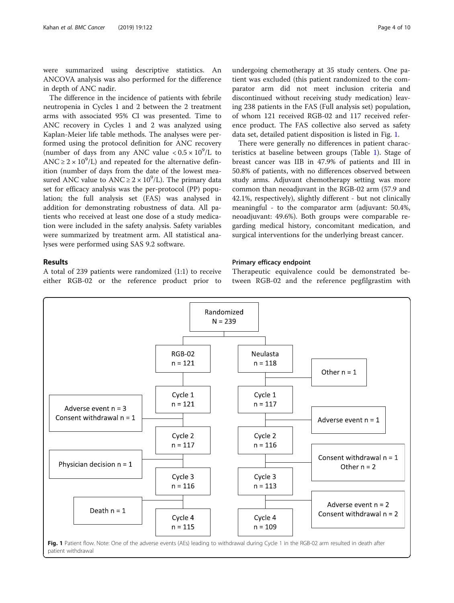were summarized using descriptive statistics. An ANCOVA analysis was also performed for the difference in depth of ANC nadir.

The difference in the incidence of patients with febrile neutropenia in Cycles 1 and 2 between the 2 treatment arms with associated 95% CI was presented. Time to ANC recovery in Cycles 1 and 2 was analyzed using Kaplan-Meier life table methods. The analyses were performed using the protocol definition for ANC recovery (number of days from any ANC value  $< 0.5 \times 10^9$ /L to ANC  $\geq$  2  $\times$  10<sup>9</sup>/L) and repeated for the alternative definition (number of days from the date of the lowest measured ANC value to  $\text{ANC} \geq 2 \times 10^9$ /L). The primary data set for efficacy analysis was the per-protocol (PP) population; the full analysis set (FAS) was analysed in addition for demonstrating robustness of data. All patients who received at least one dose of a study medication were included in the safety analysis. Safety variables were summarized by treatment arm. All statistical analyses were performed using SAS 9.2 software.

## Results

A total of 239 patients were randomized (1:1) to receive either RGB-02 or the reference product prior to undergoing chemotherapy at 35 study centers. One patient was excluded (this patient randomized to the comparator arm did not meet inclusion criteria and discontinued without receiving study medication) leaving 238 patients in the FAS (Full analysis set) population, of whom 121 received RGB-02 and 117 received reference product. The FAS collective also served as safety data set, detailed patient disposition is listed in Fig. 1.

There were generally no differences in patient characteristics at baseline between groups (Table [1\)](#page-4-0). Stage of breast cancer was IIB in 47.9% of patients and III in 50.8% of patients, with no differences observed between study arms. Adjuvant chemotherapy setting was more common than neoadjuvant in the RGB-02 arm (57.9 and 42.1%, respectively), slightly different - but not clinically meaningful - to the comparator arm (adjuvant: 50.4%, neoadjuvant: 49.6%). Both groups were comparable regarding medical history, concomitant medication, and surgical interventions for the underlying breast cancer.

## Primary efficacy endpoint

Therapeutic equivalence could be demonstrated between RGB-02 and the reference pegfilgrastim with

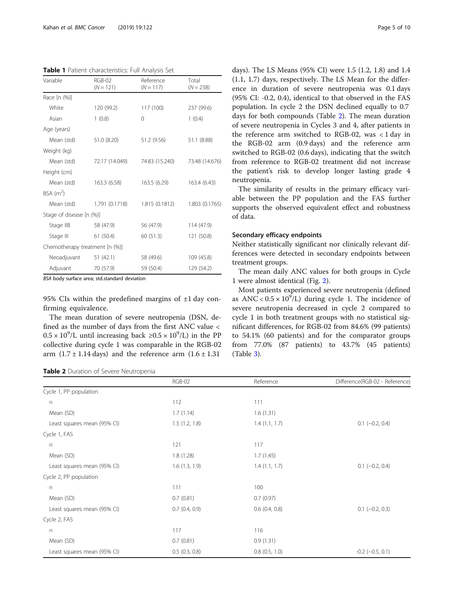<span id="page-4-0"></span>Table 1 Patient characteristics: Full Analysis Set

| Variable                       | $RGB-02$<br>$(N = 121)$ | Reference<br>$(N = 117)$ | Total<br>$(N = 238)$ |
|--------------------------------|-------------------------|--------------------------|----------------------|
| Race [n (%)]                   |                         |                          |                      |
| White                          | 120 (99.2)              | 117 (100)                | 237 (99.6)           |
| Asian                          | 1(0.8)                  | $\Omega$                 | 1(0.4)               |
| Age (years)                    |                         |                          |                      |
| Mean (std)                     | 51.0 (8.20)             | 51.2 (9.56)              | 51.1 (8.88)          |
| Weight (kg)                    |                         |                          |                      |
| Mean (std)                     | 72.17 (14.049)          | 74.83 (15.240)           | 73.48 (14.676)       |
| Height (cm)                    |                         |                          |                      |
| Mean (std)                     | 163.3 (6.58)            | 163.5(6.29)              | 163.4 (6.43)         |
| $BSA$ (m <sup>2</sup> )        |                         |                          |                      |
| Mean (std)                     | 1.791 (0.1718)          | 1.815 (0.1812)           | 1.803 (0.1765)       |
| Stage of disease [n (%)]       |                         |                          |                      |
| Stage IIB                      | 58 (47.9)               | 56 (47.9)                | 114 (47.9)           |
| Stage III                      | 61(50.4)                | 60 (51.3)                | 121 (50.8)           |
| Chemotherapy treatment [n (%)] |                         |                          |                      |
| Neoadjuvant                    | 51 (42.1)               | 58 (49.6)                | 109 (45.8)           |
| Adjuvant                       | 70 (57.9)               | 59 (50.4)                | 129 (54.2)           |

BSA body surface area; std.standard deviation

95% CIs within the predefined margins of  $\pm 1$  day confirming equivalence.

The mean duration of severe neutropenia (DSN, defined as the number of days from the first ANC value <  $0.5 \times 10^9$ /L until increasing back  $\ge 0.5 \times 10^9$ /L) in the PP collective during cycle 1 was comparable in the RGB-02 arm  $(1.7 \pm 1.14 \text{ days})$  and the reference arm  $(1.6 \pm 1.31$ 

Table 2 Duration of Severe Neutropenia

days). The LS Means (95% CI) were 1.5 (1.2, 1.8) and 1.4 (1.1, 1.7) days, respectively. The LS Mean for the difference in duration of severe neutropenia was 0.1 days (95% CI: -0.2, 0.4), identical to that observed in the FAS population. In cycle 2 the DSN declined equally to 0.7 days for both compounds (Table 2). The mean duration of severe neutropenia in Cycles 3 and 4, after patients in the reference arm switched to RGB-02, was < 1 day in the RGB-02 arm (0.9 days) and the reference arm switched to RGB-02 (0.6 days), indicating that the switch from reference to RGB-02 treatment did not increase the patient's risk to develop longer lasting grade 4 neutropenia.

The similarity of results in the primary efficacy variable between the PP population and the FAS further supports the observed equivalent effect and robustness of data.

## Secondary efficacy endpoints

Neither statistically significant nor clinically relevant differences were detected in secondary endpoints between treatment groups.

The mean daily ANC values for both groups in Cycle 1 were almost identical (Fig. [2](#page-5-0)).

Most patients experienced severe neutropenia (defined as  $ANC < 0.5 \times 10^9$ /L) during cycle 1. The incidence of severe neutropenia decreased in cycle 2 compared to cycle 1 in both treatment groups with no statistical significant differences, for RGB-02 from 84.6% (99 patients) to 54.1% (60 patients) and for the comparator groups from 77.0% (87 patients) to 43.7% (45 patients) (Table [3\)](#page-5-0).

| $\blacksquare$ baration of severe reatioperma |               |                    |                                |
|-----------------------------------------------|---------------|--------------------|--------------------------------|
|                                               | RGB-02        | Reference          | Difference(RGB-02 - Reference) |
| Cycle 1, PP population                        |               |                    |                                |
| n                                             | 112           | 111                |                                |
| Mean (SD)                                     | 1.7(1.14)     | 1.6(1.31)          |                                |
| Least squares mean (95% CI)                   | 1.5(1.2, 1.8) | 1.4(1.1, 1.7)      | $0.1$ $(-0.2, 0.4)$            |
| Cycle 1, FAS                                  |               |                    |                                |
| n                                             | 121           | 117                |                                |
| Mean (SD)                                     | 1.8(1.28)     | 1.7(1.45)          |                                |
| Least squares mean (95% CI)                   | 1.6(1.3, 1.9) | 1.4(1.1, 1.7)      | $0.1$ (-0.2, 0.4)              |
| Cycle 2, PP population                        |               |                    |                                |
| n                                             | 111           | 100                |                                |
| Mean (SD)                                     | 0.7(0.81)     | 0.7(0.97)          |                                |
| Least squares mean (95% CI)                   | 0.7(0.4, 0.9) | $0.6$ $(0.4, 0.8)$ | $0.1$ (-0.2, 0.3)              |
| Cycle 2, FAS                                  |               |                    |                                |
| n                                             | 117           | 116                |                                |
| Mean (SD)                                     | 0.7(0.81)     | 0.9(1.31)          |                                |
| Least squares mean (95% CI)                   | 0.5(0.3, 0.8) | $0.8$ $(0.5, 1.0)$ | $-0.2$ $(-0.5, 0.1)$           |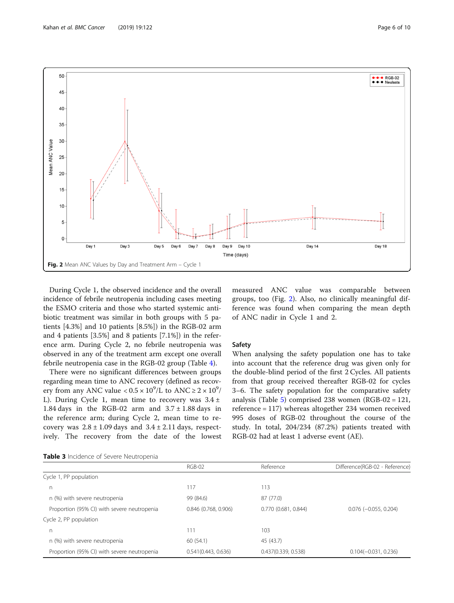<span id="page-5-0"></span>

During Cycle 1, the observed incidence and the overall incidence of febrile neutropenia including cases meeting the ESMO criteria and those who started systemic antibiotic treatment was similar in both groups with 5 patients [4.3%] and 10 patients [8.5%]) in the RGB-02 arm and 4 patients [3.5%] and 8 patients [7.1%]) in the reference arm. During Cycle 2, no febrile neutropenia was observed in any of the treatment arm except one overall febrile neutropenia case in the RGB-02 group (Table [4\)](#page-6-0).

There were no significant differences between groups regarding mean time to ANC recovery (defined as recovery from any ANC value  $< 0.5 \times 10^9$ /L to ANC  $\ge 2 \times 10^9$ / L). During Cycle 1, mean time to recovery was  $3.4 \pm$ 1.84 days in the RGB-02 arm and  $3.7 \pm 1.88$  days in the reference arm; during Cycle 2, mean time to recovery was  $2.8 \pm 1.09$  days and  $3.4 \pm 2.11$  days, respectively. The recovery from the date of the lowest measured ANC value was comparable between groups, too (Fig. 2). Also, no clinically meaningful difference was found when comparing the mean depth of ANC nadir in Cycle 1 and 2.

## Safety

When analysing the safety population one has to take into account that the reference drug was given only for the double-blind period of the first 2 Cycles. All patients from that group received thereafter RGB-02 for cycles 3–6. The safety population for the comparative safety analysis (Table [5\)](#page-6-0) comprised 238 women (RGB-02 = 121, reference = 117) whereas altogether 234 women received 995 doses of RGB-02 throughout the course of the study. In total, 204/234 (87.2%) patients treated with RGB-02 had at least 1 adverse event (AE).

| Table 3 Incidence of Severe Neutropenia |  |  |
|-----------------------------------------|--|--|
|-----------------------------------------|--|--|

|                                             | RGB-02                 | Reference           | Difference(RGB-02 - Reference) |
|---------------------------------------------|------------------------|---------------------|--------------------------------|
| Cycle 1, PP population                      |                        |                     |                                |
| n                                           | 117                    | 113                 |                                |
| n (%) with severe neutropenia               | 99 (84.6)              | 87 (77.0)           |                                |
| Proportion (95% CI) with severe neutropenia | $0.846$ (0.768, 0.906) | 0.770(0.681, 0.844) | $0.076$ ( $-0.055$ , 0.204)    |
| Cycle 2, PP population                      |                        |                     |                                |
| n                                           | 111                    | 103                 |                                |
| n (%) with severe neutropenia               | 60(54.1)               | 45 (43.7)           |                                |
| Proportion (95% CI) with severe neutropenia | 0.541(0.443, 0.636)    | 0.437(0.339, 0.538) | $0.104(-0.031, 0.236)$         |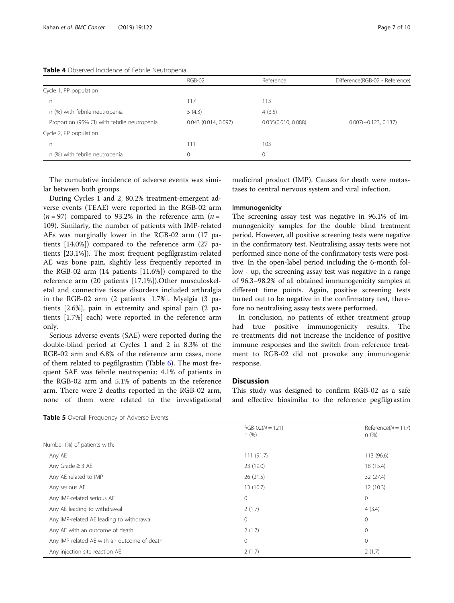## <span id="page-6-0"></span>Table 4 Observed Incidence of Febrile Neutropenia

|                                              | RGB-02                 | Reference           | Difference(RGB-02 - Reference) |
|----------------------------------------------|------------------------|---------------------|--------------------------------|
| Cycle 1, PP population                       |                        |                     |                                |
| n.                                           | 117                    | 113                 |                                |
| n (%) with febrile neutropenia               | 5(4.3)                 | 4(3.5)              |                                |
| Proportion (95% CI) with febrile neutropenia | $0.043$ (0.014, 0.097) | 0.035(0.010, 0.088) | $0.007(-0.123, 0.137)$         |
| Cycle 2, PP population                       |                        |                     |                                |
| n                                            | 111                    | 103                 |                                |
| n (%) with febrile neutropenia               | $\Omega$               |                     |                                |

The cumulative incidence of adverse events was similar between both groups.

During Cycles 1 and 2, 80.2% treatment-emergent adverse events (TEAE) were reported in the RGB-02 arm  $(n = 97)$  compared to 93.2% in the reference arm  $(n = 17)$ 109). Similarly, the number of patients with IMP-related AEs was marginally lower in the RGB-02 arm (17 patients [14.0%]) compared to the reference arm (27 patients [23.1%]). The most frequent pegfilgrastim-related AE was bone pain, slightly less frequently reported in the RGB-02 arm (14 patients [11.6%]) compared to the reference arm (20 patients [17.1%]).Other musculoskeletal and connective tissue disorders included arthralgia in the RGB-02 arm (2 patients [1.7%]. Myalgia (3 patients [2.6%], pain in extremity and spinal pain (2 patients [1.7%] each) were reported in the reference arm only.

Serious adverse events (SAE) were reported during the double-blind period at Cycles 1 and 2 in 8.3% of the RGB-02 arm and 6.8% of the reference arm cases, none of them related to pegfilgrastim (Table [6\)](#page-7-0). The most frequent SAE was febrile neutropenia: 4.1% of patients in the RGB-02 arm and 5.1% of patients in the reference arm. There were 2 deaths reported in the RGB-02 arm, none of them were related to the investigational medicinal product (IMP). Causes for death were metastases to central nervous system and viral infection.

#### Immunogenicity

The screening assay test was negative in 96.1% of immunogenicity samples for the double blind treatment period. However, all positive screening tests were negative in the confirmatory test. Neutralising assay tests were not performed since none of the confirmatory tests were positive. In the open-label period including the 6-month follow - up, the screening assay test was negative in a range of 96.3–98.2% of all obtained immunogenicity samples at different time points. Again, positive screening tests turned out to be negative in the confirmatory test, therefore no neutralising assay tests were performed.

In conclusion, no patients of either treatment group had true positive immunogenicity results. The re-treatments did not increase the incidence of positive immune responses and the switch from reference treatment to RGB-02 did not provoke any immunogenic response.

## **Discussion**

This study was designed to confirm RGB-02 as a safe and effective biosimilar to the reference pegfilgrastim

**Table 5** Overall Frequency of Adverse Events

|                                             | $RGB-02(N = 121)$<br>n(%) | Reference( $N = 117$ )<br>n (%) |
|---------------------------------------------|---------------------------|---------------------------------|
| Number (%) of patients with:                |                           |                                 |
| Any AE                                      | 111(91.7)                 | 113 (96.6)                      |
| Any Grade $\geq$ 3 AE                       | 23 (19.0)                 | 18 (15.4)                       |
| Any AE related to IMP                       | 26(21.5)                  | 32(27.4)                        |
| Any serious AE                              | 13 (10.7)                 | 12(10.3)                        |
| Any IMP-related serious AE                  | $\mathbf{0}$              | $\circ$                         |
| Any AE leading to withdrawal                | 2(1.7)                    | 4(3.4)                          |
| Any IMP-related AE leading to withdrawal    | $\mathbf{0}$              | $\mathbf{0}$                    |
| Any AE with an outcome of death             | 2(1.7)                    | $\mathbf{0}$                    |
| Any IMP-related AE with an outcome of death | $\mathbf{0}$              | $\mathbf{0}$                    |
| Any injection site reaction AE              | 2(1.7)                    | 2(1.7)                          |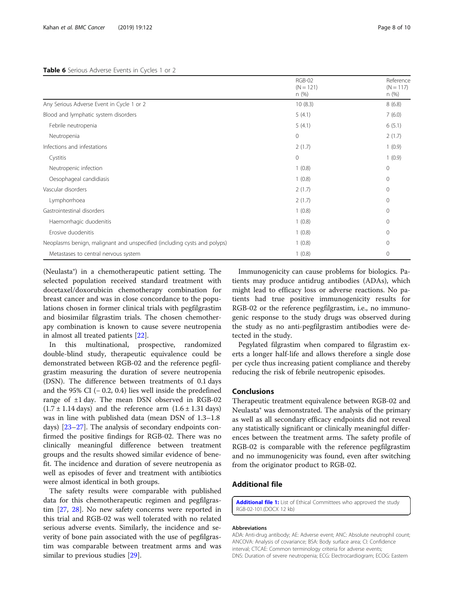| Page 8 of |  |
|-----------|--|
|           |  |

<span id="page-7-0"></span>

|                                                                          | RGB-02<br>$(N = 121)$<br>n(%) | Reference<br>$(N = 117)$<br>n(%) |
|--------------------------------------------------------------------------|-------------------------------|----------------------------------|
|                                                                          |                               |                                  |
| Any Serious Adverse Event in Cycle 1 or 2                                | 10(8.3)                       | 8(6.8)                           |
| Blood and lymphatic system disorders                                     | 5(4.1)                        | 7(6.0)                           |
| Febrile neutropenia                                                      | 5(4.1)                        | 6(5.1)                           |
| Neutropenia                                                              | $\circ$                       | 2(1.7)                           |
| Infections and infestations                                              | 2(1.7)                        | 1(0.9)                           |
| Cystitis                                                                 | $\circ$                       | 1(0.9)                           |
| Neutropenic infection                                                    | 1(0.8)                        | $\mathbf{0}$                     |
| Oesophageal candidiasis                                                  | 1(0.8)                        | $\mathbf{0}$                     |
| Vascular disorders                                                       | 2(1.7)                        | $\mathbf{0}$                     |
| Lymphorrhoea                                                             | 2(1.7)                        | $\mathbf{0}$                     |
| Gastrointestinal disorders                                               | 1(0.8)                        | 0                                |
| Haemorrhagic duodenitis                                                  | 1(0.8)                        | $\circ$                          |
| Erosive duodenitis                                                       | 1(0.8)                        | 0                                |
| Neoplasms benign, malignant and unspecified (including cysts and polyps) | 1(0.8)                        | $\mathbf{0}$                     |
| Metastases to central nervous system                                     | 1(0.8)                        | $\mathbf{0}$                     |

(Neulasta®) in a chemotherapeutic patient setting. The selected population received standard treatment with docetaxel/doxorubicin chemotherapy combination for breast cancer and was in close concordance to the populations chosen in former clinical trials with pegfilgrastim and biosimilar filgrastim trials. The chosen chemotherapy combination is known to cause severe neutropenia in almost all treated patients [[22\]](#page-9-0).

In this multinational, prospective, randomized double-blind study, therapeutic equivalence could be demonstrated between RGB-02 and the reference pegfilgrastim measuring the duration of severe neutropenia (DSN). The difference between treatments of 0.1 days and the 95% CI (− 0.2, 0.4) lies well inside the predefined range of ±1 day. The mean DSN observed in RGB-02  $(1.7 \pm 1.14 \text{ days})$  and the reference arm  $(1.6 \pm 1.31 \text{ days})$ was in line with published data (mean DSN of 1.3–1.8 days) [\[23](#page-9-0)–[27\]](#page-9-0). The analysis of secondary endpoints confirmed the positive findings for RGB-02. There was no clinically meaningful difference between treatment groups and the results showed similar evidence of benefit. The incidence and duration of severe neutropenia as well as episodes of fever and treatment with antibiotics were almost identical in both groups.

The safety results were comparable with published data for this chemotherapeutic regimen and pegfilgrastim [\[27,](#page-9-0) [28](#page-9-0)]. No new safety concerns were reported in this trial and RGB-02 was well tolerated with no related serious adverse events. Similarly, the incidence and severity of bone pain associated with the use of pegfilgrastim was comparable between treatment arms and was similar to previous studies [[29](#page-9-0)].

Immunogenicity can cause problems for biologics. Patients may produce antidrug antibodies (ADAs), which might lead to efficacy loss or adverse reactions. No patients had true positive immunogenicity results for RGB-02 or the reference pegfilgrastim, i.e., no immunogenic response to the study drugs was observed during the study as no anti-pegfilgrastim antibodies were detected in the study.

Pegylated filgrastim when compared to filgrastim exerts a longer half-life and allows therefore a single dose per cycle thus increasing patient compliance and thereby reducing the risk of febrile neutropenic episodes.

## Conclusions

Therapeutic treatment equivalence between RGB-02 and Neulasta® was demonstrated. The analysis of the primary as well as all secondary efficacy endpoints did not reveal any statistically significant or clinically meaningful differences between the treatment arms. The safety profile of RGB-02 is comparable with the reference pegfilgrastim and no immunogenicity was found, even after switching from the originator product to RGB-02.

## Additional file

[Additional file 1:](https://doi.org/10.1186/s12885-019-5329-6) List of Ethical Committees who approved the study RGB-02-101.(DOCX 12 kb)

#### Abbreviations

ADA: Anti-drug antibody; AE: Adverse event; ANC: Absolute neutrophil count; ANCOVA: Analysis of covariance; BSA: Body surface area; CI: Confidence interval; CTCAE: Common terminology criteria for adverse events; DNS: Duration of severe neutropenia; ECG: Electrocardiogram; ECOG: Eastern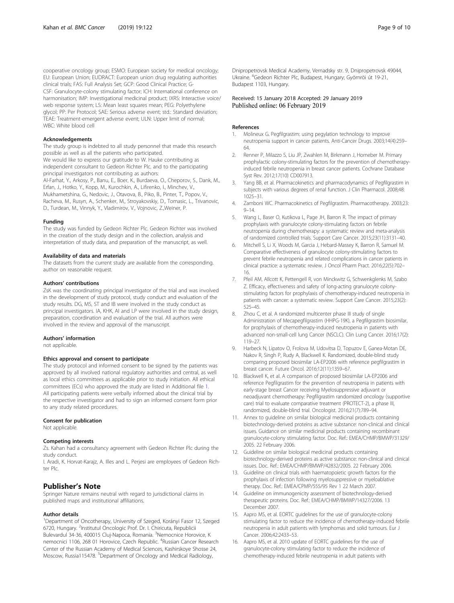<span id="page-8-0"></span>cooperative oncology group; ESMO: European society for medical oncology; EU: European Union; EUDRACT: European union drug regulating authorities clinical trials; FAS: Full Analysis Set; GCP: Good Clinical Practice; G-CSF: Granulocyte-colony stimulating factor; ICH: International conference on harmonisation; IMP: Investigational medicinal product; IXRS: Interactive voice/ web response system; LS: Mean least squares mean; PEG: Polyethylene glycol; PP: Per Protocol; SAE: Serious adverse event; std.: Standard deviation; TEAE: Treatment-emergent adverse event; ULN: Upper limit of normal; WBC: White blood cell

## Acknowledgements

The study group is indebted to all study personnel that made this research possible as well as all the patients who participated. We would like to express our gratitude to W. Hauke contributing as independent consultant to Gedeon Richter Plc. and to the participating principal investigators not contributing as authors: Al-Farhat, Y., Arkosy, P., Banu, E., Boer, K., Burdaeva, O., Cheporov, S., Dank, M., Erfan, J., Hotko, Y., Kopp, M., Kurochkin, A., Lifirenko, I., Minchev, V., Mukhametshina, G., Nedovic, J., Otavova, B., Piko, B., Pinter, T., Popov, V., Racheva, M., Rusyn, A., Schenker, M., Stroyakovskiy, D., Tomasic, L., Trivanovic,

#### Funding

The study was funded by Gedeon Richter Plc. Gedeon Richter was involved in the creation of the study design and in the collection, analysis and interpretation of study data, and preparation of the manuscript, as well.

D., Turdean, M., Vinnyk, Y., Vladimirov, V., Vojnovic, Z.,Weiner, P.

#### Availability of data and materials

The datasets from the current study are available from the corresponding. author on reasonable request.

## Authors' contributions

ZsK was the coordinating principal investigator of the trial and was involved in the development of study protocol, study conduct and evaluation of the study results. DG, MS, ST and IB were involved in the study conduct as principal investigators. IA, KHK, AI and LP were involved in the study design, preparation, coordination and evaluation of the trial. All authors were involved in the review and approval of the manuscript.

#### Authors' information

not applicable.

#### Ethics approval and consent to participate

The study protocol and informed consent to be signed by the patients was approved by all involved national regulatory authorities and central, as well as local ethics committees as applicable prior to study initiation. All ethical committees (ECs) who approved the study are listed in Additional file [1](#page-7-0). All participating patients were verbally informed about the clinical trial by the respective investigator and had to sign an informed consent form prior to any study related procedures.

#### Consent for publication

Not applicable.

#### Competing interests

Zs. Kahan had a consultancy agreement with Gedeon Richter Plc during the study conduct.

I. Aradi, K. Horvat-Karajz, A. Illes and L. Perjesi are employees of Gedeon Richter Plc.

## Publisher's Note

Springer Nature remains neutral with regard to jurisdictional claims in published maps and institutional affiliations.

### Author details

<sup>1</sup>Department of Oncotherapy, University of Szeged, Korányi Fasor 12, Szeged 6720, Hungary. <sup>2</sup>Institutul Oncologic Prof. Dr. I. Chiricuta, Republicii Bulevardul 34-36, 400015 Cluj-Napoca, Romania. <sup>3</sup>Nemocnice Horovice, K nemocnici 1106, 268 01 Horovice, Czech Republic. <sup>4</sup>Russian Cancer Research Center of the Russian Academy of Medical Sciences, Kashirskoye Shosse 24, Moscow, Russia115478. <sup>5</sup>Department of Oncology and Medical Radiology,

Dnipropetrovsk Medical Academy, Vernadsky str. 9, Dnipropetrovsk 49044, Ukraine. <sup>6</sup>Gedeon Richter Plc, Budapest, Hungary; Gyömröi út 19-21, Budapest 1103, Hungary.

#### Received: 15 January 2018 Accepted: 29 January 2019 Published online: 06 February 2019

#### References

- Molineux G. Pegfilgrastim: using pegylation technology to improve neutropenia support in cancer patients. Anti-Cancer Drugs. 2003;14(4):259– 64.
- 2. Renner P, Milazzo S, Liu JP, Zwahlen M, Birkmann J, Horneber M. Primary prophylactic colony-stimulating factors for the prevention of chemotherapyinduced febrile neutropenia in breast cancer patients. Cochrane Database Syst Rev. 2012;17(10) CD007913.
- 3. Yang BB, et al. Pharmacokinetics and pharmacodynamics of Pegfilgrastim in subjects with various degrees of renal function. J Clin Pharmacol. 2008;48: 1025–31.
- 4. Zamboni WC. Pharmacokinetics of Pegfilgrastim. Pharmacotherapy. 2003;23:  $9 - 14$
- 5. Wang L, Baser O, Kutikova L, Page JH, Barron R. The impact of primary prophylaxis with granulocyte colony-stimulating factors on febrile neutropenia during chemotherapy: a systematic review and meta-analysis of randomized controlled trials. Support Care Cancer. 2015;23(11):3131–40.
- 6. Mitchell S, Li X, Woods M, Garcia J, Hebard-Massey K, Barron R, Samuel M. Comparative effectiveness of granulocyte colony-stimulating factors to prevent febrile neutropenia and related complications in cancer patients in clinical practice: a systematic review. J Oncol Pharm Pract. 2016;22(5):702– 16.
- 7. Pfeil AM, Allcott K, Pettengell R, von Minckwitz G, Schwenkglenks M, Szabo Z. Efficacy, effectiveness and safety of long-acting granulocyte colonystimulating factors for prophylaxis of chemotherapy-induced neutropenia in patients with cancer: a systematic review. Support Care Cancer. 2015;23(2): 525–45.
- 8. Zhou C, et al. A randomized multicenter phase III study of single Administration of Mecapegfilgrastim (HHPG-19K), a Pegfilgrastim biosimilar, for prophylaxis of chemotherapy-induced neutropenia in patients with advanced non-small-cell lung Cancer (NSCLC). Clin Lung Cancer. 2016;17(2): 119–27.
- 9. Harbeck N, Lipatov O, Frolova M, Udovitsa D, Topuzov E, Ganea-Motan DE, Nakov R, Singh P, Rudy A, Blackwell K. Randomized, double-blind study comparing proposed biosimilar LA-EP2006 with reference pegfilgrastim in breast cancer. Future Oncol. 2016;12(11):1359–67.
- 10. Blackwell K, et al. A comparison of proposed biosimilar LA-EP2006 and reference Pegfilgrastim for the prevention of neutropenia in patients with early-stage breast Cancer receiving Myelosuppressive adjuvant or neoadjuvant chemotherapy: Pegfilgrastim randomized oncology (supportive care) trial to evaluate comparative treatment (PROTECT-2), a phase III, randomized, double-blind trial. Oncologist. 2016;21(7):789–94.
- 11. Annex to guideline on similar biological medicinal products containing biotechnology-derived proteins as active substance: non-clinical and clinical issues. Guidance on similar medicinal products containing recombinant granulocyte-colony stimulating factor. Doc. Ref.: EMEA/CHMP/BMWP/31329/ 2005. 22 February 2006.
- 12. Guideline on similar biological medicinal products containing biotechnology-derived proteins as active substance: non-clinical and clinical issues. Doc. Ref.: EMEA/CHMP/BMWP/42832/2005. 22 February 2006.
- 13. Guideline on clinical trials with haematopoietic growth factors for the prophylaxis of infection following myelosuppressive or myeloablative therapy. Doc. Ref.: EMEA/CPMP/555/95 Rev 1 22 March 2007.
- 14. Guideline on immunogenicity assessment of biotechnology-derived therapeutic proteins. Doc. Ref.: EMEA/CHMP/BMWP/14327/2006. 13 December 2007.
- 15. Aapro MS, et al. EORTC guidelines for the use of granulocyte-colony stimulating factor to reduce the incidence of chemotherapy-induced febrile neutropenia in adult patients with lymphomas and solid tumours. Eur J Cancer. 2006;42:2433–53.
- 16. Aapro MS, et al. 2010 update of EORTC guidelines for the use of granulocyte-colony stimulating factor to reduce the incidence of chemotherapy-induced febrile neutropenia in adult patients with